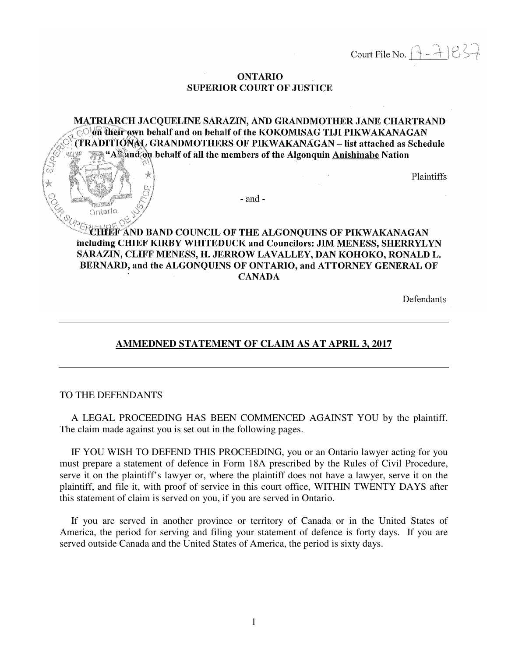Court File No.  $[3 - 7] 837$ 

#### **ONTARIO SUPERIOR COURT OF JUSTICE**

MATRIARCH JACOUELINE SARAZIN, AND GRANDMOTHER JANE CHARTRAND **OWE their own behalf and on behalf of the KOKOMISAG TIJI PIKWAKANAGAN** (TRADITIONAL GRANDMOTHERS OF PIKWAKANAGAN – list attached as Schedule "A" and  $\phi$  behalf of all the members of the Algonquin Anishinabe Nation

Plaintiffs

 $-$  and  $-$ 

# HIEF AND BAND COUNCIL OF THE ALGONQUINS OF PIKWAKANAGAN including CHIEF KIRBY WHITEDUCK and Councilors: JIM MENESS, SHERRYLYN SARAZIN, CLIFF MENESS, H. JERROW LAVALLEY, DAN KOHOKO, RONALD L. BERNARD, and the ALGONQUINS OF ONTARIO, and ATTORNEY GENERAL OF **CANADA**

Defendants

# **AMMEDNED STATEMENT OF CLAIM AS AT APRIL 3, 2017**

#### TO THE DEFENDANTS

Ontario

 A LEGAL PROCEEDING HAS BEEN COMMENCED AGAINST YOU by the plaintiff. The claim made against you is set out in the following pages.

 IF YOU WISH TO DEFEND THIS PROCEEDING, you or an Ontario lawyer acting for you must prepare a statement of defence in Form 18A prescribed by the Rules of Civil Procedure, serve it on the plaintiff's lawyer or, where the plaintiff does not have a lawyer, serve it on the plaintiff, and file it, with proof of service in this court office, WITHIN TWENTY DAYS after this statement of claim is served on you, if you are served in Ontario.

 If you are served in another province or territory of Canada or in the United States of America, the period for serving and filing your statement of defence is forty days. If you are served outside Canada and the United States of America, the period is sixty days.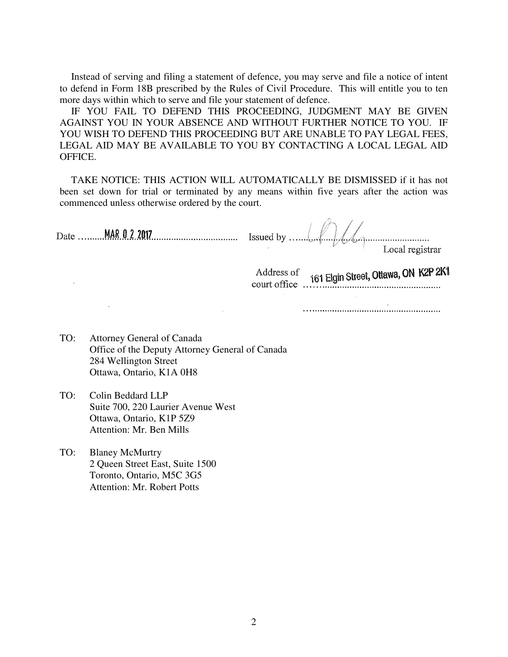Instead of serving and filing a statement of defence, you may serve and file a notice of intent to defend in Form 18B prescribed by the Rules of Civil Procedure. This will entitle you to ten more days within which to serve and file your statement of defence.

 IF YOU FAIL TO DEFEND THIS PROCEEDING, JUDGMENT MAY BE GIVEN AGAINST YOU IN YOUR ABSENCE AND WITHOUT FURTHER NOTICE TO YOU. IF YOU WISH TO DEFEND THIS PROCEEDING BUT ARE UNABLE TO PAY LEGAL FEES. LEGAL AID MAY BE AVAILABLE TO YOU BY CONTACTING A LOCAL LEGAL AID OFFICE.

 TAKE NOTICE: THIS ACTION WILL AUTOMATICALLY BE DISMISSED if it has not been set down for trial or terminated by any means within five years after the action was commenced unless otherwise ordered by the court.

| Address of 161 Elgin Street, Ottawa, ON K2P 2K1<br>$\frac{101 \text{ E}[\text{VIII}] \cdot \text{VII} \cdot \text{VIII}}{101 \text{ E}[\text{VIII}] \cdot \text{VIII}}$ |
|-------------------------------------------------------------------------------------------------------------------------------------------------------------------------|

 $\sim 10^{-10}$ 

TO: Attorney General of Canada Office of the Deputy Attorney General of Canada 284 Wellington Street Ottawa, Ontario, K1A 0H8

- TO: Colin Beddard LLP Suite 700, 220 Laurier Avenue West Ottawa, Ontario, K1P 5Z9 Attention: Mr. Ben Mills
- TO: Blaney McMurtry 2 Queen Street East, Suite 1500 Toronto, Ontario, M5C 3G5 Attention: Mr. Robert Potts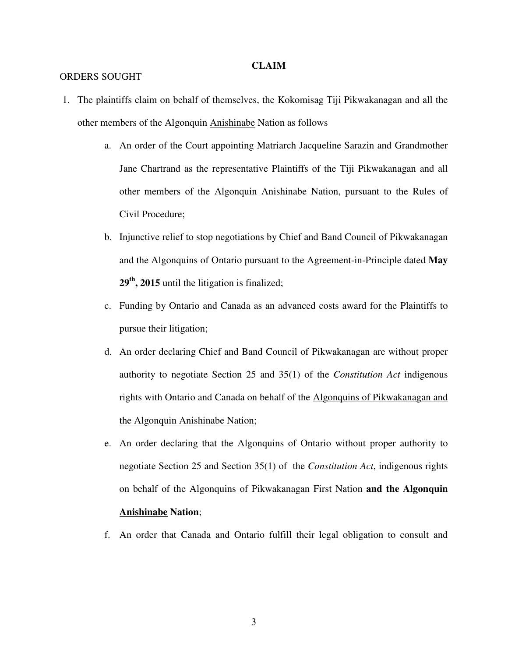#### **CLAIM**

#### ORDERS SOUGHT

- 1. The plaintiffs claim on behalf of themselves, the Kokomisag Tiji Pikwakanagan and all the other members of the Algonquin Anishinabe Nation as follows
	- a. An order of the Court appointing Matriarch Jacqueline Sarazin and Grandmother Jane Chartrand as the representative Plaintiffs of the Tiji Pikwakanagan and all other members of the Algonquin Anishinabe Nation, pursuant to the Rules of Civil Procedure;
	- b. Injunctive relief to stop negotiations by Chief and Band Council of Pikwakanagan and the Algonquins of Ontario pursuant to the Agreement-in-Principle dated **May 29th, 2015** until the litigation is finalized;
	- c. Funding by Ontario and Canada as an advanced costs award for the Plaintiffs to pursue their litigation;
	- d. An order declaring Chief and Band Council of Pikwakanagan are without proper authority to negotiate Section 25 and 35(1) of the *Constitution Act* indigenous rights with Ontario and Canada on behalf of the Algonquins of Pikwakanagan and the Algonquin Anishinabe Nation;
	- e. An order declaring that the Algonquins of Ontario without proper authority to negotiate Section 25 and Section 35(1) of the *Constitution Act*, indigenous rights on behalf of the Algonquins of Pikwakanagan First Nation **and the Algonquin Anishinabe Nation**;
	- f. An order that Canada and Ontario fulfill their legal obligation to consult and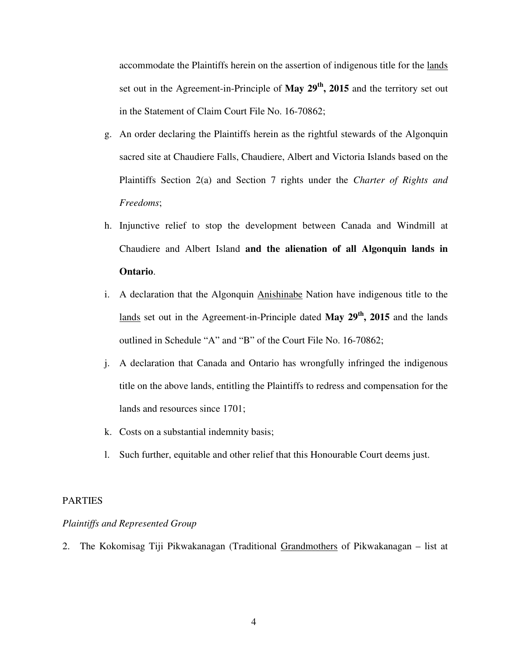accommodate the Plaintiffs herein on the assertion of indigenous title for the lands set out in the Agreement-in-Principle of **May 29th, 2015** and the territory set out in the Statement of Claim Court File No. 16-70862;

- g. An order declaring the Plaintiffs herein as the rightful stewards of the Algonquin sacred site at Chaudiere Falls, Chaudiere, Albert and Victoria Islands based on the Plaintiffs Section 2(a) and Section 7 rights under the *Charter of Rights and Freedoms*;
- h. Injunctive relief to stop the development between Canada and Windmill at Chaudiere and Albert Island **and the alienation of all Algonquin lands in Ontario**.
- i. A declaration that the Algonquin Anishinabe Nation have indigenous title to the lands set out in the Agreement-in-Principle dated **May 29th, 2015** and the lands outlined in Schedule "A" and "B" of the Court File No. 16-70862;
- j. A declaration that Canada and Ontario has wrongfully infringed the indigenous title on the above lands, entitling the Plaintiffs to redress and compensation for the lands and resources since 1701;
- k. Costs on a substantial indemnity basis;
- l. Such further, equitable and other relief that this Honourable Court deems just.

### PARTIES

### *Plaintiffs and Represented Group*

2. The Kokomisag Tiji Pikwakanagan (Traditional Grandmothers of Pikwakanagan – list at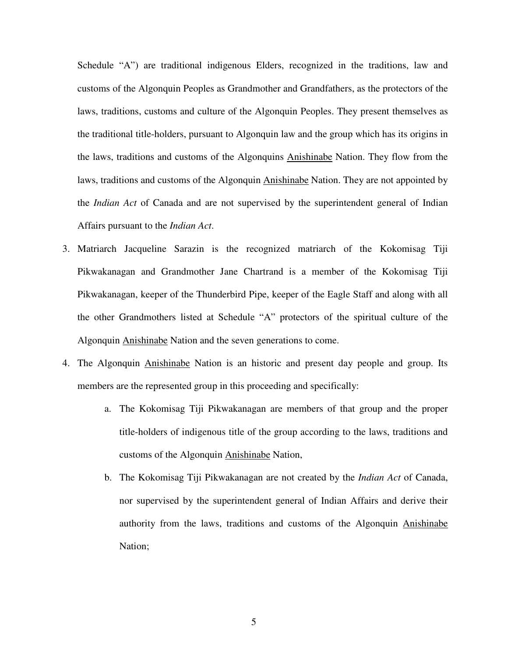Schedule "A") are traditional indigenous Elders, recognized in the traditions, law and customs of the Algonquin Peoples as Grandmother and Grandfathers, as the protectors of the laws, traditions, customs and culture of the Algonquin Peoples. They present themselves as the traditional title-holders, pursuant to Algonquin law and the group which has its origins in the laws, traditions and customs of the Algonquins Anishinabe Nation. They flow from the laws, traditions and customs of the Algonquin Anishinabe Nation. They are not appointed by the *Indian Act* of Canada and are not supervised by the superintendent general of Indian Affairs pursuant to the *Indian Act*.

- 3. Matriarch Jacqueline Sarazin is the recognized matriarch of the Kokomisag Tiji Pikwakanagan and Grandmother Jane Chartrand is a member of the Kokomisag Tiji Pikwakanagan, keeper of the Thunderbird Pipe, keeper of the Eagle Staff and along with all the other Grandmothers listed at Schedule "A" protectors of the spiritual culture of the Algonquin Anishinabe Nation and the seven generations to come.
- 4. The Algonquin Anishinabe Nation is an historic and present day people and group. Its members are the represented group in this proceeding and specifically:
	- a. The Kokomisag Tiji Pikwakanagan are members of that group and the proper title-holders of indigenous title of the group according to the laws, traditions and customs of the Algonquin Anishinabe Nation,
	- b. The Kokomisag Tiji Pikwakanagan are not created by the *Indian Act* of Canada, nor supervised by the superintendent general of Indian Affairs and derive their authority from the laws, traditions and customs of the Algonquin Anishinabe Nation;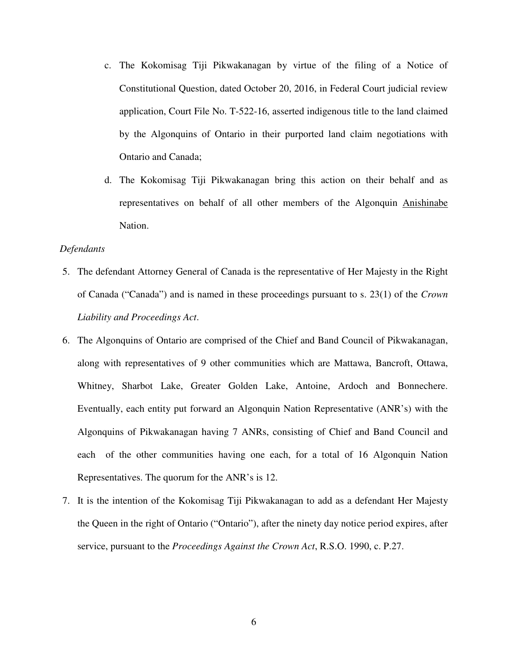- c. The Kokomisag Tiji Pikwakanagan by virtue of the filing of a Notice of Constitutional Question, dated October 20, 2016, in Federal Court judicial review application, Court File No. T-522-16, asserted indigenous title to the land claimed by the Algonquins of Ontario in their purported land claim negotiations with Ontario and Canada;
- d. The Kokomisag Tiji Pikwakanagan bring this action on their behalf and as representatives on behalf of all other members of the Algonquin Anishinabe Nation.

## *Defendants*

- 5. The defendant Attorney General of Canada is the representative of Her Majesty in the Right of Canada ("Canada") and is named in these proceedings pursuant to s. 23(1) of the *Crown Liability and Proceedings Act*.
- 6. The Algonquins of Ontario are comprised of the Chief and Band Council of Pikwakanagan, along with representatives of 9 other communities which are Mattawa, Bancroft, Ottawa, Whitney, Sharbot Lake, Greater Golden Lake, Antoine, Ardoch and Bonnechere. Eventually, each entity put forward an Algonquin Nation Representative (ANR's) with the Algonquins of Pikwakanagan having 7 ANRs, consisting of Chief and Band Council and each of the other communities having one each, for a total of 16 Algonquin Nation Representatives. The quorum for the ANR's is 12.
- 7. It is the intention of the Kokomisag Tiji Pikwakanagan to add as a defendant Her Majesty the Queen in the right of Ontario ("Ontario"), after the ninety day notice period expires, after service, pursuant to the *Proceedings Against the Crown Act*, R.S.O. 1990, c. P.27.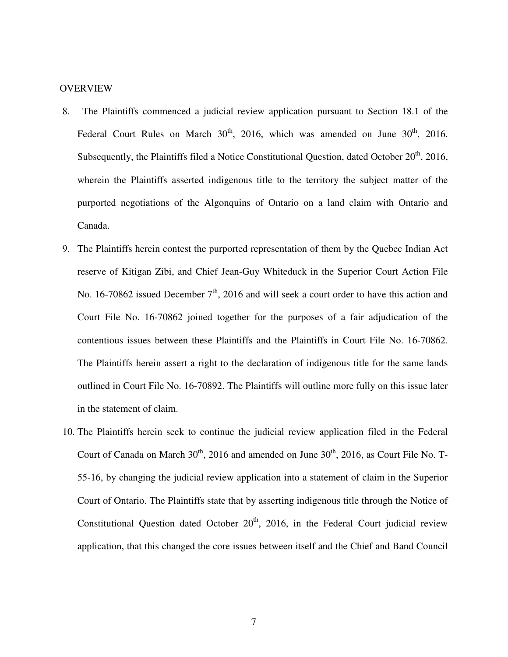### **OVERVIEW**

- 8. The Plaintiffs commenced a judicial review application pursuant to Section 18.1 of the Federal Court Rules on March  $30<sup>th</sup>$ , 2016, which was amended on June  $30<sup>th</sup>$ , 2016. Subsequently, the Plaintiffs filed a Notice Constitutional Question, dated October  $20<sup>th</sup>$ , 2016, wherein the Plaintiffs asserted indigenous title to the territory the subject matter of the purported negotiations of the Algonquins of Ontario on a land claim with Ontario and Canada.
- 9. The Plaintiffs herein contest the purported representation of them by the Quebec Indian Act reserve of Kitigan Zibi, and Chief Jean-Guy Whiteduck in the Superior Court Action File No. 16-70862 issued December  $7<sup>th</sup>$ , 2016 and will seek a court order to have this action and Court File No. 16-70862 joined together for the purposes of a fair adjudication of the contentious issues between these Plaintiffs and the Plaintiffs in Court File No. 16-70862. The Plaintiffs herein assert a right to the declaration of indigenous title for the same lands outlined in Court File No. 16-70892. The Plaintiffs will outline more fully on this issue later in the statement of claim.
- 10. The Plaintiffs herein seek to continue the judicial review application filed in the Federal Court of Canada on March  $30<sup>th</sup>$ , 2016 and amended on June  $30<sup>th</sup>$ , 2016, as Court File No. T-55-16, by changing the judicial review application into a statement of claim in the Superior Court of Ontario. The Plaintiffs state that by asserting indigenous title through the Notice of Constitutional Question dated October  $20<sup>th</sup>$ , 2016, in the Federal Court judicial review application, that this changed the core issues between itself and the Chief and Band Council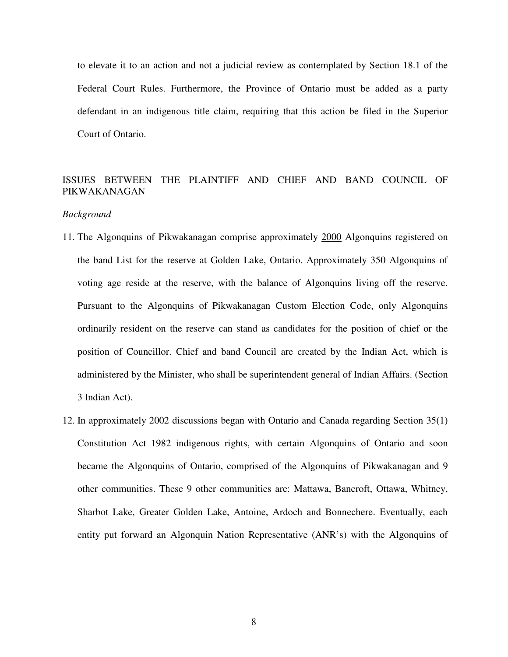to elevate it to an action and not a judicial review as contemplated by Section 18.1 of the Federal Court Rules. Furthermore, the Province of Ontario must be added as a party defendant in an indigenous title claim, requiring that this action be filed in the Superior Court of Ontario.

# ISSUES BETWEEN THE PLAINTIFF AND CHIEF AND BAND COUNCIL OF PIKWAKANAGAN

#### *Background*

- 11. The Algonquins of Pikwakanagan comprise approximately 2000 Algonquins registered on the band List for the reserve at Golden Lake, Ontario. Approximately 350 Algonquins of voting age reside at the reserve, with the balance of Algonquins living off the reserve. Pursuant to the Algonquins of Pikwakanagan Custom Election Code, only Algonquins ordinarily resident on the reserve can stand as candidates for the position of chief or the position of Councillor. Chief and band Council are created by the Indian Act, which is administered by the Minister, who shall be superintendent general of Indian Affairs. (Section 3 Indian Act).
- 12. In approximately 2002 discussions began with Ontario and Canada regarding Section 35(1) Constitution Act 1982 indigenous rights, with certain Algonquins of Ontario and soon became the Algonquins of Ontario, comprised of the Algonquins of Pikwakanagan and 9 other communities. These 9 other communities are: Mattawa, Bancroft, Ottawa, Whitney, Sharbot Lake, Greater Golden Lake, Antoine, Ardoch and Bonnechere. Eventually, each entity put forward an Algonquin Nation Representative (ANR's) with the Algonquins of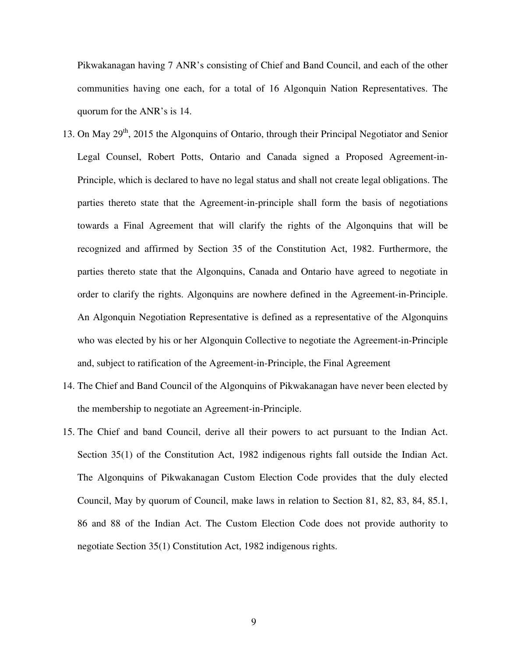Pikwakanagan having 7 ANR's consisting of Chief and Band Council, and each of the other communities having one each, for a total of 16 Algonquin Nation Representatives. The quorum for the ANR's is 14.

- 13. On May 29<sup>th</sup>, 2015 the Algonquins of Ontario, through their Principal Negotiator and Senior Legal Counsel, Robert Potts, Ontario and Canada signed a Proposed Agreement-in-Principle, which is declared to have no legal status and shall not create legal obligations. The parties thereto state that the Agreement-in-principle shall form the basis of negotiations towards a Final Agreement that will clarify the rights of the Algonquins that will be recognized and affirmed by Section 35 of the Constitution Act, 1982. Furthermore, the parties thereto state that the Algonquins, Canada and Ontario have agreed to negotiate in order to clarify the rights. Algonquins are nowhere defined in the Agreement-in-Principle. An Algonquin Negotiation Representative is defined as a representative of the Algonquins who was elected by his or her Algonquin Collective to negotiate the Agreement-in-Principle and, subject to ratification of the Agreement-in-Principle, the Final Agreement
- 14. The Chief and Band Council of the Algonquins of Pikwakanagan have never been elected by the membership to negotiate an Agreement-in-Principle.
- 15. The Chief and band Council, derive all their powers to act pursuant to the Indian Act. Section 35(1) of the Constitution Act, 1982 indigenous rights fall outside the Indian Act. The Algonquins of Pikwakanagan Custom Election Code provides that the duly elected Council, May by quorum of Council, make laws in relation to Section 81, 82, 83, 84, 85.1, 86 and 88 of the Indian Act. The Custom Election Code does not provide authority to negotiate Section 35(1) Constitution Act, 1982 indigenous rights.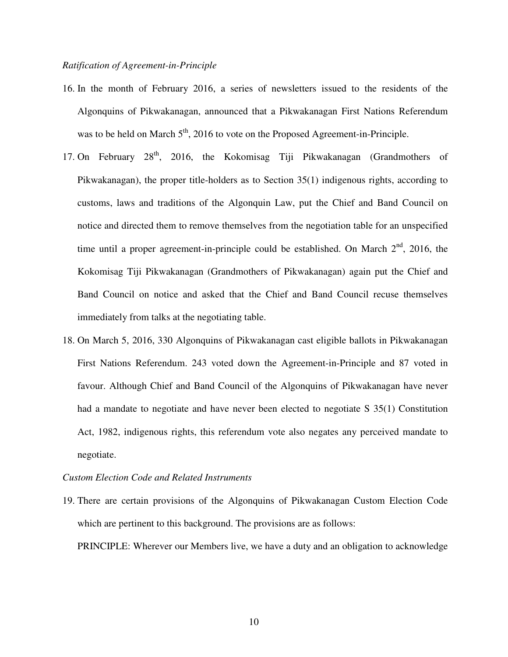### *Ratification of Agreement-in-Principle*

- 16. In the month of February 2016, a series of newsletters issued to the residents of the Algonquins of Pikwakanagan, announced that a Pikwakanagan First Nations Referendum was to be held on March  $5<sup>th</sup>$ , 2016 to vote on the Proposed Agreement-in-Principle.
- 17. On February 28<sup>th</sup>, 2016, the Kokomisag Tiji Pikwakanagan (Grandmothers of Pikwakanagan), the proper title-holders as to Section 35(1) indigenous rights, according to customs, laws and traditions of the Algonquin Law, put the Chief and Band Council on notice and directed them to remove themselves from the negotiation table for an unspecified time until a proper agreement-in-principle could be established. On March  $2<sup>nd</sup>$ , 2016, the Kokomisag Tiji Pikwakanagan (Grandmothers of Pikwakanagan) again put the Chief and Band Council on notice and asked that the Chief and Band Council recuse themselves immediately from talks at the negotiating table.
- 18. On March 5, 2016, 330 Algonquins of Pikwakanagan cast eligible ballots in Pikwakanagan First Nations Referendum. 243 voted down the Agreement-in-Principle and 87 voted in favour. Although Chief and Band Council of the Algonquins of Pikwakanagan have never had a mandate to negotiate and have never been elected to negotiate S 35(1) Constitution Act, 1982, indigenous rights, this referendum vote also negates any perceived mandate to negotiate.

### *Custom Election Code and Related Instruments*

19. There are certain provisions of the Algonquins of Pikwakanagan Custom Election Code which are pertinent to this background. The provisions are as follows:

PRINCIPLE: Wherever our Members live, we have a duty and an obligation to acknowledge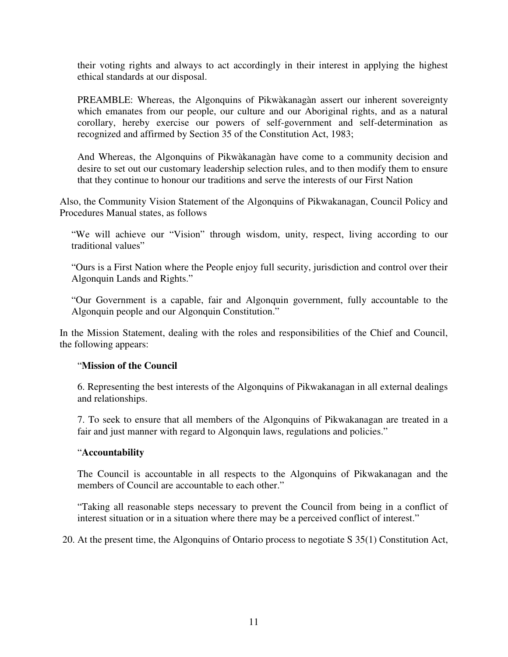their voting rights and always to act accordingly in their interest in applying the highest ethical standards at our disposal.

PREAMBLE: Whereas, the Algonquins of Pikwàkanagàn assert our inherent sovereignty which emanates from our people, our culture and our Aboriginal rights, and as a natural corollary, hereby exercise our powers of self-government and self-determination as recognized and affirmed by Section 35 of the Constitution Act, 1983;

And Whereas, the Algonquins of Pikwàkanagàn have come to a community decision and desire to set out our customary leadership selection rules, and to then modify them to ensure that they continue to honour our traditions and serve the interests of our First Nation

Also, the Community Vision Statement of the Algonquins of Pikwakanagan, Council Policy and Procedures Manual states, as follows

"We will achieve our "Vision" through wisdom, unity, respect, living according to our traditional values"

"Ours is a First Nation where the People enjoy full security, jurisdiction and control over their Algonquin Lands and Rights."

"Our Government is a capable, fair and Algonquin government, fully accountable to the Algonquin people and our Algonquin Constitution."

In the Mission Statement, dealing with the roles and responsibilities of the Chief and Council, the following appears:

# "**Mission of the Council**

6. Representing the best interests of the Algonquins of Pikwakanagan in all external dealings and relationships.

7. To seek to ensure that all members of the Algonquins of Pikwakanagan are treated in a fair and just manner with regard to Algonquin laws, regulations and policies."

# "**Accountability**

The Council is accountable in all respects to the Algonquins of Pikwakanagan and the members of Council are accountable to each other."

"Taking all reasonable steps necessary to prevent the Council from being in a conflict of interest situation or in a situation where there may be a perceived conflict of interest."

20. At the present time, the Algonquins of Ontario process to negotiate S 35(1) Constitution Act,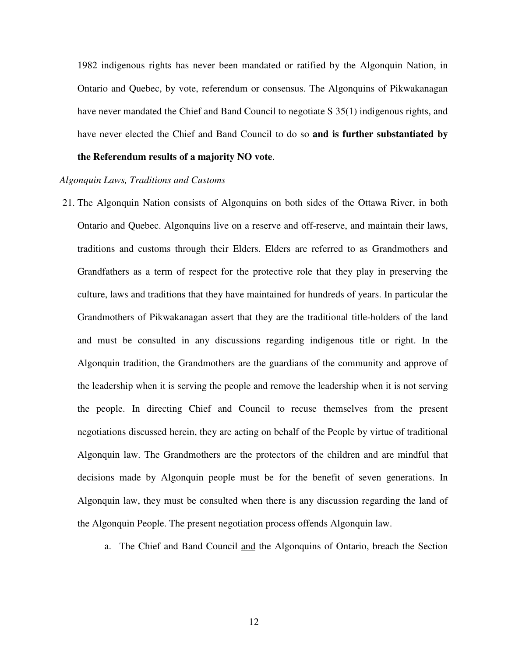1982 indigenous rights has never been mandated or ratified by the Algonquin Nation, in Ontario and Quebec, by vote, referendum or consensus. The Algonquins of Pikwakanagan have never mandated the Chief and Band Council to negotiate S 35(1) indigenous rights, and have never elected the Chief and Band Council to do so **and is further substantiated by** 

## **the Referendum results of a majority NO vote**.

#### *Algonquin Laws, Traditions and Customs*

- 21. The Algonquin Nation consists of Algonquins on both sides of the Ottawa River, in both Ontario and Quebec. Algonquins live on a reserve and off-reserve, and maintain their laws, traditions and customs through their Elders. Elders are referred to as Grandmothers and Grandfathers as a term of respect for the protective role that they play in preserving the culture, laws and traditions that they have maintained for hundreds of years. In particular the Grandmothers of Pikwakanagan assert that they are the traditional title-holders of the land and must be consulted in any discussions regarding indigenous title or right. In the Algonquin tradition, the Grandmothers are the guardians of the community and approve of the leadership when it is serving the people and remove the leadership when it is not serving the people. In directing Chief and Council to recuse themselves from the present negotiations discussed herein, they are acting on behalf of the People by virtue of traditional Algonquin law. The Grandmothers are the protectors of the children and are mindful that decisions made by Algonquin people must be for the benefit of seven generations. In Algonquin law, they must be consulted when there is any discussion regarding the land of the Algonquin People. The present negotiation process offends Algonquin law.
	- a. The Chief and Band Council and the Algonquins of Ontario, breach the Section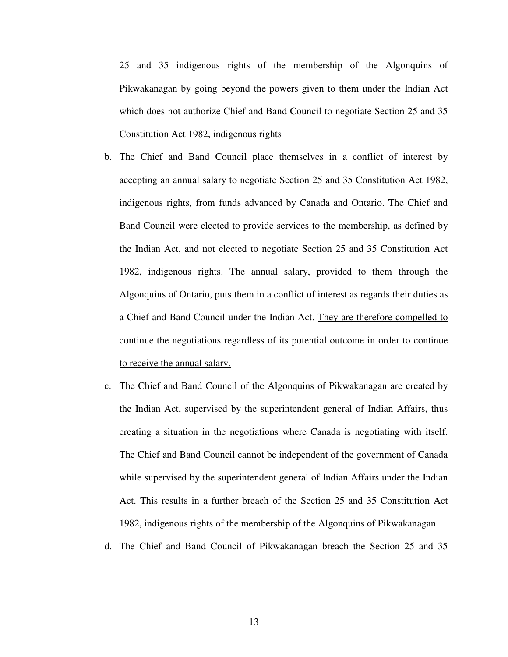25 and 35 indigenous rights of the membership of the Algonquins of Pikwakanagan by going beyond the powers given to them under the Indian Act which does not authorize Chief and Band Council to negotiate Section 25 and 35 Constitution Act 1982, indigenous rights

- b. The Chief and Band Council place themselves in a conflict of interest by accepting an annual salary to negotiate Section 25 and 35 Constitution Act 1982, indigenous rights, from funds advanced by Canada and Ontario. The Chief and Band Council were elected to provide services to the membership, as defined by the Indian Act, and not elected to negotiate Section 25 and 35 Constitution Act 1982, indigenous rights. The annual salary, provided to them through the Algonquins of Ontario, puts them in a conflict of interest as regards their duties as a Chief and Band Council under the Indian Act. They are therefore compelled to continue the negotiations regardless of its potential outcome in order to continue to receive the annual salary.
- c. The Chief and Band Council of the Algonquins of Pikwakanagan are created by the Indian Act, supervised by the superintendent general of Indian Affairs, thus creating a situation in the negotiations where Canada is negotiating with itself. The Chief and Band Council cannot be independent of the government of Canada while supervised by the superintendent general of Indian Affairs under the Indian Act. This results in a further breach of the Section 25 and 35 Constitution Act 1982, indigenous rights of the membership of the Algonquins of Pikwakanagan
- d. The Chief and Band Council of Pikwakanagan breach the Section 25 and 35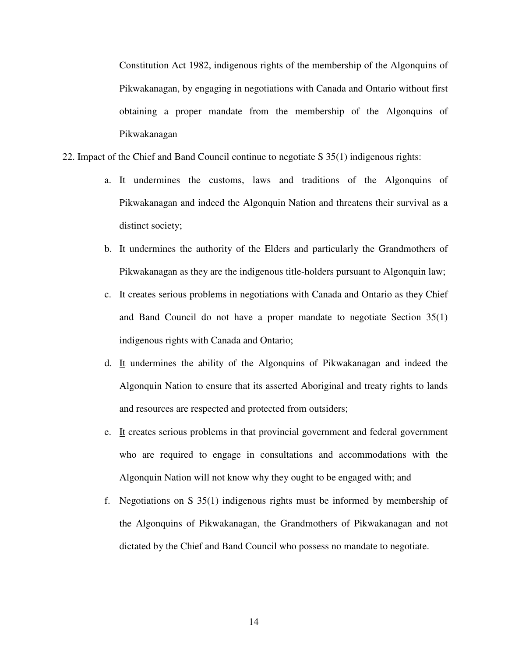Constitution Act 1982, indigenous rights of the membership of the Algonquins of Pikwakanagan, by engaging in negotiations with Canada and Ontario without first obtaining a proper mandate from the membership of the Algonquins of Pikwakanagan

- 22. Impact of the Chief and Band Council continue to negotiate S 35(1) indigenous rights:
	- a. It undermines the customs, laws and traditions of the Algonquins of Pikwakanagan and indeed the Algonquin Nation and threatens their survival as a distinct society;
	- b. It undermines the authority of the Elders and particularly the Grandmothers of Pikwakanagan as they are the indigenous title-holders pursuant to Algonquin law;
	- c. It creates serious problems in negotiations with Canada and Ontario as they Chief and Band Council do not have a proper mandate to negotiate Section 35(1) indigenous rights with Canada and Ontario;
	- d. It undermines the ability of the Algonquins of Pikwakanagan and indeed the Algonquin Nation to ensure that its asserted Aboriginal and treaty rights to lands and resources are respected and protected from outsiders;
	- e. It creates serious problems in that provincial government and federal government who are required to engage in consultations and accommodations with the Algonquin Nation will not know why they ought to be engaged with; and
	- f. Negotiations on S 35(1) indigenous rights must be informed by membership of the Algonquins of Pikwakanagan, the Grandmothers of Pikwakanagan and not dictated by the Chief and Band Council who possess no mandate to negotiate.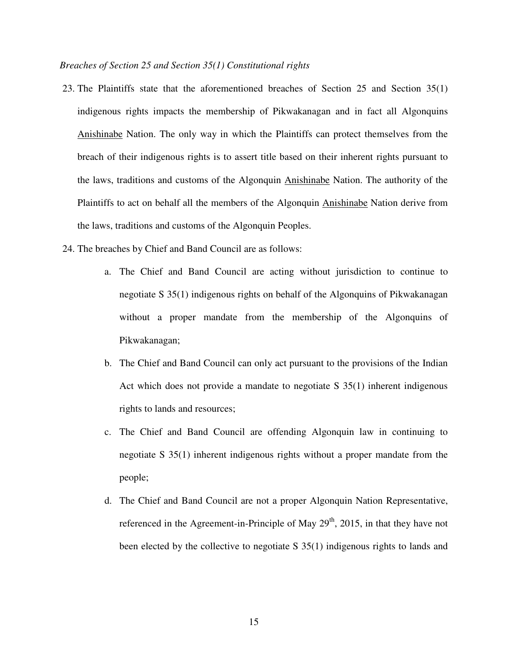#### *Breaches of Section 25 and Section 35(1) Constitutional rights*

- 23. The Plaintiffs state that the aforementioned breaches of Section 25 and Section 35(1) indigenous rights impacts the membership of Pikwakanagan and in fact all Algonquins Anishinabe Nation. The only way in which the Plaintiffs can protect themselves from the breach of their indigenous rights is to assert title based on their inherent rights pursuant to the laws, traditions and customs of the Algonquin Anishinabe Nation. The authority of the Plaintiffs to act on behalf all the members of the Algonquin Anishinabe Nation derive from the laws, traditions and customs of the Algonquin Peoples.
- 24. The breaches by Chief and Band Council are as follows:
	- a. The Chief and Band Council are acting without jurisdiction to continue to negotiate S 35(1) indigenous rights on behalf of the Algonquins of Pikwakanagan without a proper mandate from the membership of the Algonquins of Pikwakanagan;
	- b. The Chief and Band Council can only act pursuant to the provisions of the Indian Act which does not provide a mandate to negotiate S 35(1) inherent indigenous rights to lands and resources;
	- c. The Chief and Band Council are offending Algonquin law in continuing to negotiate S 35(1) inherent indigenous rights without a proper mandate from the people;
	- d. The Chief and Band Council are not a proper Algonquin Nation Representative, referenced in the Agreement-in-Principle of May  $29<sup>th</sup>$ , 2015, in that they have not been elected by the collective to negotiate S 35(1) indigenous rights to lands and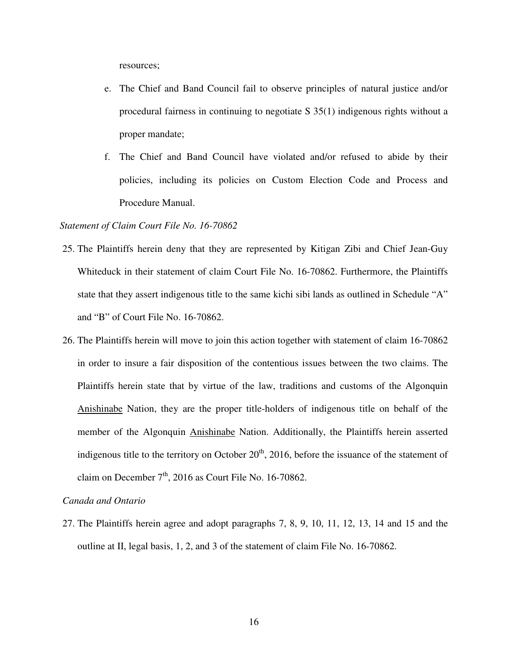resources;

- e. The Chief and Band Council fail to observe principles of natural justice and/or procedural fairness in continuing to negotiate S 35(1) indigenous rights without a proper mandate;
- f. The Chief and Band Council have violated and/or refused to abide by their policies, including its policies on Custom Election Code and Process and Procedure Manual.

#### *Statement of Claim Court File No. 16-70862*

- 25. The Plaintiffs herein deny that they are represented by Kitigan Zibi and Chief Jean-Guy Whiteduck in their statement of claim Court File No. 16-70862. Furthermore, the Plaintiffs state that they assert indigenous title to the same kichi sibi lands as outlined in Schedule "A" and "B" of Court File No. 16-70862.
- 26. The Plaintiffs herein will move to join this action together with statement of claim 16-70862 in order to insure a fair disposition of the contentious issues between the two claims. The Plaintiffs herein state that by virtue of the law, traditions and customs of the Algonquin Anishinabe Nation, they are the proper title-holders of indigenous title on behalf of the member of the Algonquin Anishinabe Nation. Additionally, the Plaintiffs herein asserted indigenous title to the territory on October  $20<sup>th</sup>$ , 2016, before the issuance of the statement of claim on December  $7<sup>th</sup>$ , 2016 as Court File No. 16-70862.

### *Canada and Ontario*

27. The Plaintiffs herein agree and adopt paragraphs 7, 8, 9, 10, 11, 12, 13, 14 and 15 and the outline at II, legal basis, 1, 2, and 3 of the statement of claim File No. 16-70862.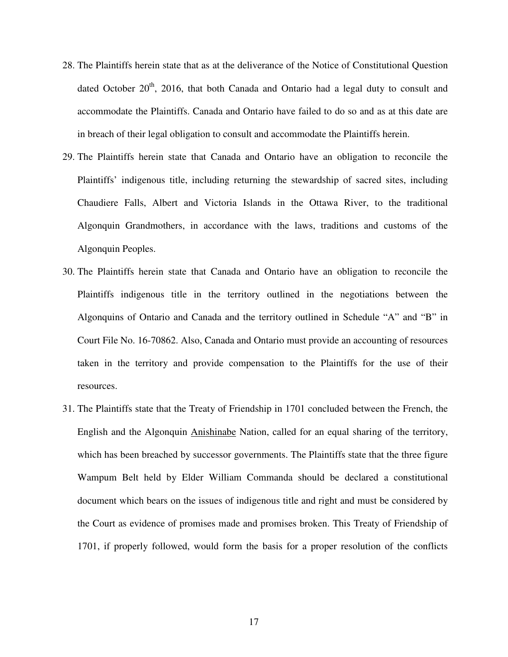- 28. The Plaintiffs herein state that as at the deliverance of the Notice of Constitutional Question dated October  $20<sup>th</sup>$ , 2016, that both Canada and Ontario had a legal duty to consult and accommodate the Plaintiffs. Canada and Ontario have failed to do so and as at this date are in breach of their legal obligation to consult and accommodate the Plaintiffs herein.
- 29. The Plaintiffs herein state that Canada and Ontario have an obligation to reconcile the Plaintiffs' indigenous title, including returning the stewardship of sacred sites, including Chaudiere Falls, Albert and Victoria Islands in the Ottawa River, to the traditional Algonquin Grandmothers, in accordance with the laws, traditions and customs of the Algonquin Peoples.
- 30. The Plaintiffs herein state that Canada and Ontario have an obligation to reconcile the Plaintiffs indigenous title in the territory outlined in the negotiations between the Algonquins of Ontario and Canada and the territory outlined in Schedule "A" and "B" in Court File No. 16-70862. Also, Canada and Ontario must provide an accounting of resources taken in the territory and provide compensation to the Plaintiffs for the use of their resources.
- 31. The Plaintiffs state that the Treaty of Friendship in 1701 concluded between the French, the English and the Algonquin Anishinabe Nation, called for an equal sharing of the territory, which has been breached by successor governments. The Plaintiffs state that the three figure Wampum Belt held by Elder William Commanda should be declared a constitutional document which bears on the issues of indigenous title and right and must be considered by the Court as evidence of promises made and promises broken. This Treaty of Friendship of 1701, if properly followed, would form the basis for a proper resolution of the conflicts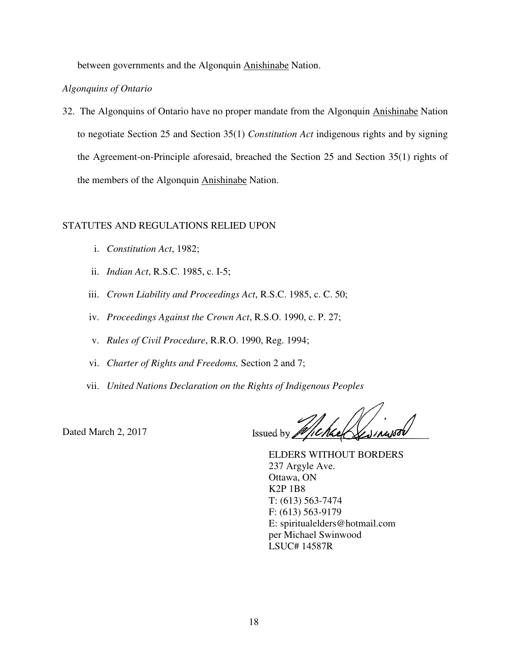between governments and the Algonquin Anishinabe Nation.

## *Algonquins of Ontario*

32. The Algonquins of Ontario have no proper mandate from the Algonquin Anishinabe Nation to negotiate Section 25 and Section 35(1) *Constitution Act* indigenous rights and by signing the Agreement-on-Principle aforesaid, breached the Section 25 and Section 35(1) rights of the members of the Algonquin Anishinabe Nation.

# STATUTES AND REGULATIONS RELIED UPON

- i. *Constitution Act*, 1982;
- ii. *Indian Act*, R.S.C. 1985, c. I-5;
- iii. *Crown Liability and Proceedings Act*, R.S.C. 1985, c. C. 50;
- iv. *Proceedings Against the Crown Act*, R.S.O. 1990, c. P. 27;
- v. *Rules of Civil Procedure*, R.R.O. 1990, Reg. 1994;
- vi. *Charter of Rights and Freedoms,* Section 2 and 7;
- vii. *United Nations Declaration on the Rights of Indigenous Peoples*

Dated March 2, 2017

Issued by

 ELDERS WITHOUT BORDERS 237 Argyle Ave. Ottawa, ON K2P 1B8 T: (613) 563-7474 F: (613) 563-9179 E: spiritualelders@hotmail.com per Michael Swinwood LSUC# 14587R